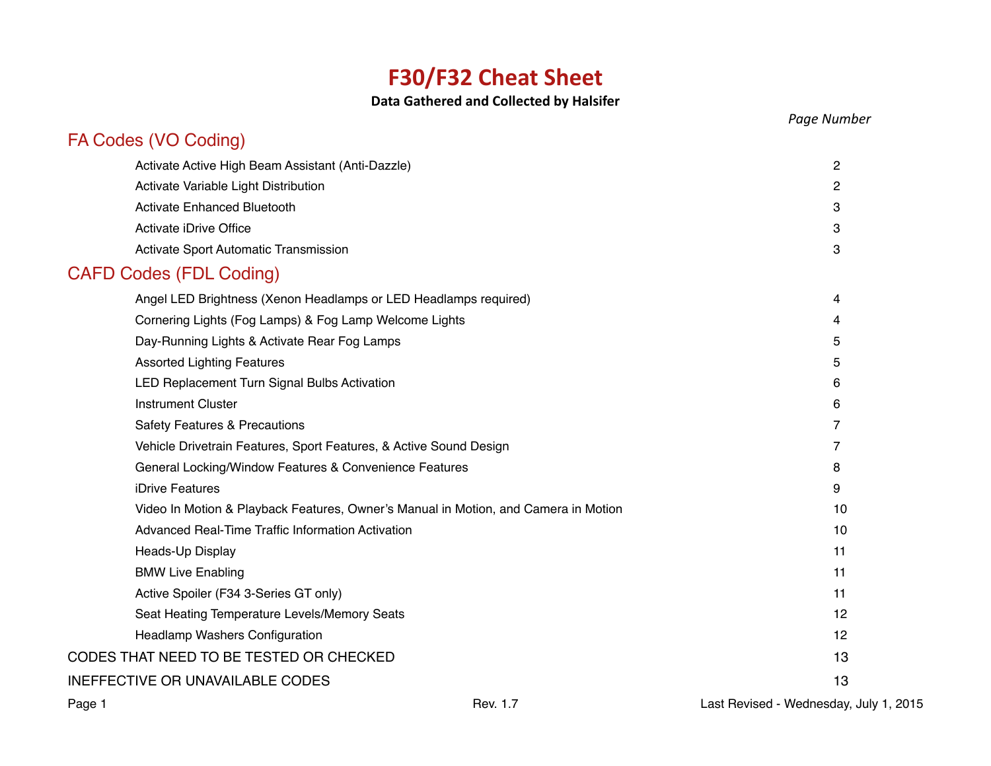# **F30/F32 Cheat Sheet**

## **Data Gathered and Collected by Halsifer**

|                                                                                     | Page Number    |
|-------------------------------------------------------------------------------------|----------------|
| FA Codes (VO Coding)                                                                |                |
| Activate Active High Beam Assistant (Anti-Dazzle)                                   | 2              |
| Activate Variable Light Distribution                                                | 2              |
| <b>Activate Enhanced Bluetooth</b>                                                  | 3              |
| Activate iDrive Office                                                              | 3              |
| Activate Sport Automatic Transmission                                               | 3              |
| <b>CAFD Codes (FDL Coding)</b>                                                      |                |
| Angel LED Brightness (Xenon Headlamps or LED Headlamps required)                    | 4              |
| Cornering Lights (Fog Lamps) & Fog Lamp Welcome Lights                              | 4              |
| Day-Running Lights & Activate Rear Fog Lamps                                        | 5              |
| <b>Assorted Lighting Features</b>                                                   | 5              |
| LED Replacement Turn Signal Bulbs Activation                                        | 6              |
| <b>Instrument Cluster</b>                                                           | 6              |
| <b>Safety Features &amp; Precautions</b>                                            | $\overline{7}$ |
| Vehicle Drivetrain Features, Sport Features, & Active Sound Design                  | 7              |
| General Locking/Window Features & Convenience Features                              | 8              |
| iDrive Features                                                                     | 9              |
| Video In Motion & Playback Features, Owner's Manual in Motion, and Camera in Motion | 10             |
| Advanced Real-Time Traffic Information Activation                                   | 10             |
| Heads-Up Display                                                                    | 11             |
| <b>BMW Live Enabling</b>                                                            | 11             |
| Active Spoiler (F34 3-Series GT only)                                               | 11             |
| Seat Heating Temperature Levels/Memory Seats                                        | 12             |
| Headlamp Washers Configuration                                                      | 12             |
| CODES THAT NEED TO BE TESTED OR CHECKED                                             | 13             |
| <b>INEFFECTIVE OR UNAVAILABLE CODES</b>                                             | 13             |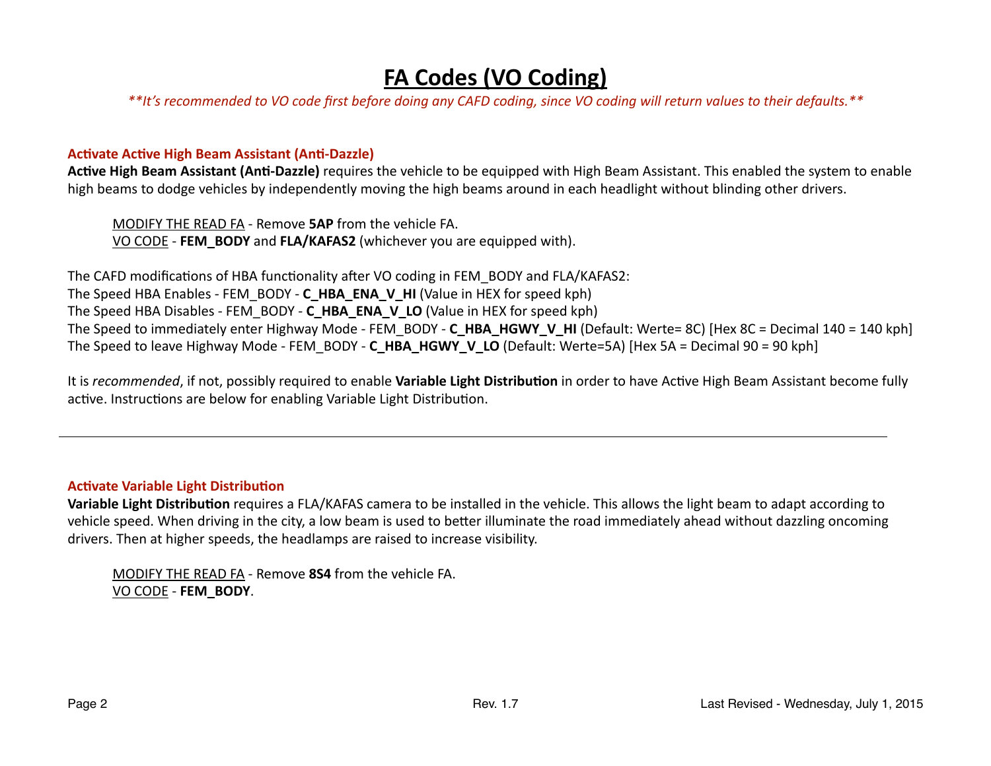## **FA Codes (VO Coding)**

<span id="page-1-0"></span>\*\*It's recommended to VO code first before doing any CAFD coding, since VO coding will return values to their defaults.\*\*

#### **Activate Active High Beam Assistant (Anti-Dazzle)**

**Active High Beam Assistant (Anti-Dazzle)** requires the vehicle to be equipped with High Beam Assistant. This enabled the system to enable high beams to dodge vehicles by independently moving the high beams around in each headlight without blinding other drivers.

MODIFY THE READ FA - Remove **5AP** from the vehicle FA. VO CODE - FEM BODY and FLA/KAFAS2 (whichever you are equipped with).

The CAFD modifications of HBA functionality after VO coding in FEM\_BODY and FLA/KAFAS2: The Speed HBA Enables - FEM\_BODY - C\_HBA\_ENA\_V\_HI (Value in HEX for speed kph) The Speed HBA Disables - FEM\_BODY - **C\_HBA\_ENA\_V\_LO** (Value in HEX for speed kph) The Speed to immediately enter Highway Mode - FEM\_BODY - **C\_HBA\_HGWY\_V\_HI** (Default: Werte= 8C) [Hex 8C = Decimal 140 = 140 kph] The Speed to leave Highway Mode - FEM\_BODY - C\_HBA\_HGWY\_V\_LO (Default: Werte=5A) [Hex 5A = Decimal 90 = 90 kph]

It is *recommended*, if not, possibly required to enable **Variable Light Distribution** in order to have Active High Beam Assistant become fully active. Instructions are below for enabling Variable Light Distribution.

#### **Activate Variable Light Distribution**

Variable Light Distribution requires a FLA/KAFAS camera to be installed in the vehicle. This allows the light beam to adapt according to vehicle speed. When driving in the city, a low beam is used to better illuminate the road immediately ahead without dazzling oncoming drivers. Then at higher speeds, the headlamps are raised to increase visibility.

MODIFY THE READ FA - Remove 8S4 from the vehicle FA. VO CODE - **FEM\_BODY**.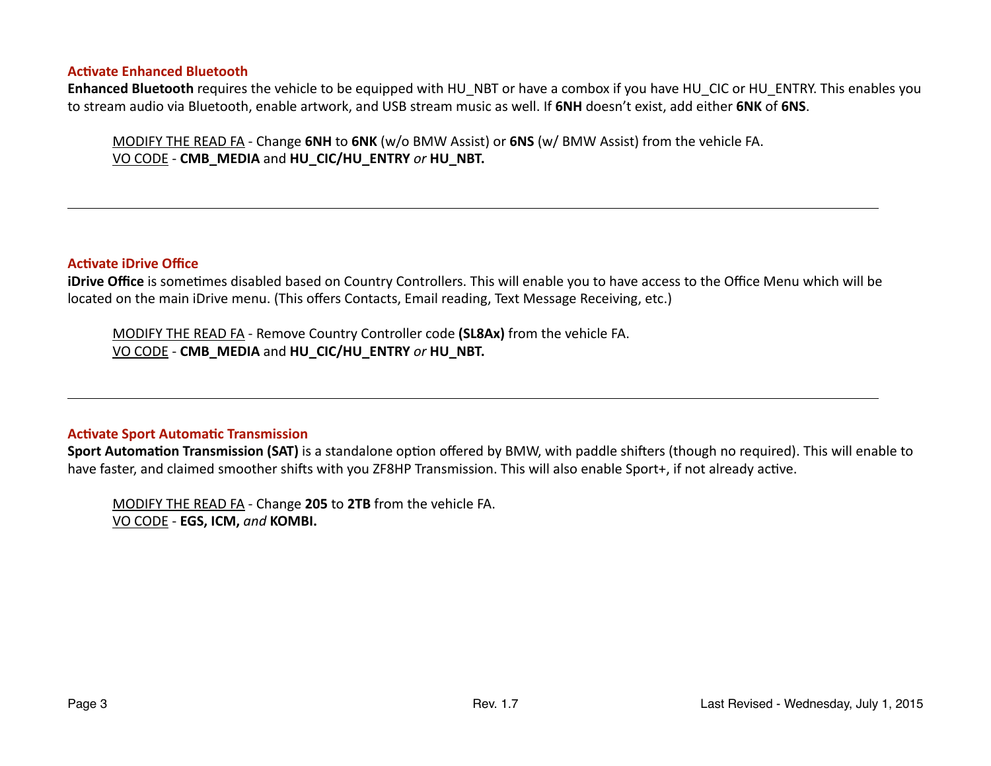#### <span id="page-2-0"></span>**Activate Enhanced Bluetooth**

Enhanced Bluetooth requires the vehicle to be equipped with HU\_NBT or have a combox if you have HU\_CIC or HU\_ENTRY. This enables you to stream audio via Bluetooth, enable artwork, and USB stream music as well. If **6NH** doesn't exist, add either **6NK** of **6NS**.

MODIFY THE READ FA - Change **6NH** to **6NK** (w/o BMW Assist) or **6NS** (w/ BMW Assist) from the vehicle FA. VO CODE - CMB\_MEDIA and HU\_CIC/HU\_ENTRY or HU\_NBT.

#### **Activate iDrive Office**

**iDrive Office** is sometimes disabled based on Country Controllers. This will enable you to have access to the Office Menu which will be located on the main iDrive menu. (This offers Contacts, Email reading, Text Message Receiving, etc.)

MODIFY THE READ FA - Remove Country Controller code (SL8Ax) from the vehicle FA.  $\underline{VO}$  CODE - CMB\_MEDIA and HU\_CIC/HU\_ENTRY or HU\_NBT.

#### **Activate Sport Automatic Transmission**

**Sport Automation Transmission (SAT)** is a standalone option offered by BMW, with paddle shifters (though no required). This will enable to have faster, and claimed smoother shifts with you ZF8HP Transmission. This will also enable Sport+, if not already active.

MODIFY THE READ FA - Change 205 to 2TB from the vehicle FA. VO CODE - **EGS, ICM, and KOMBI.**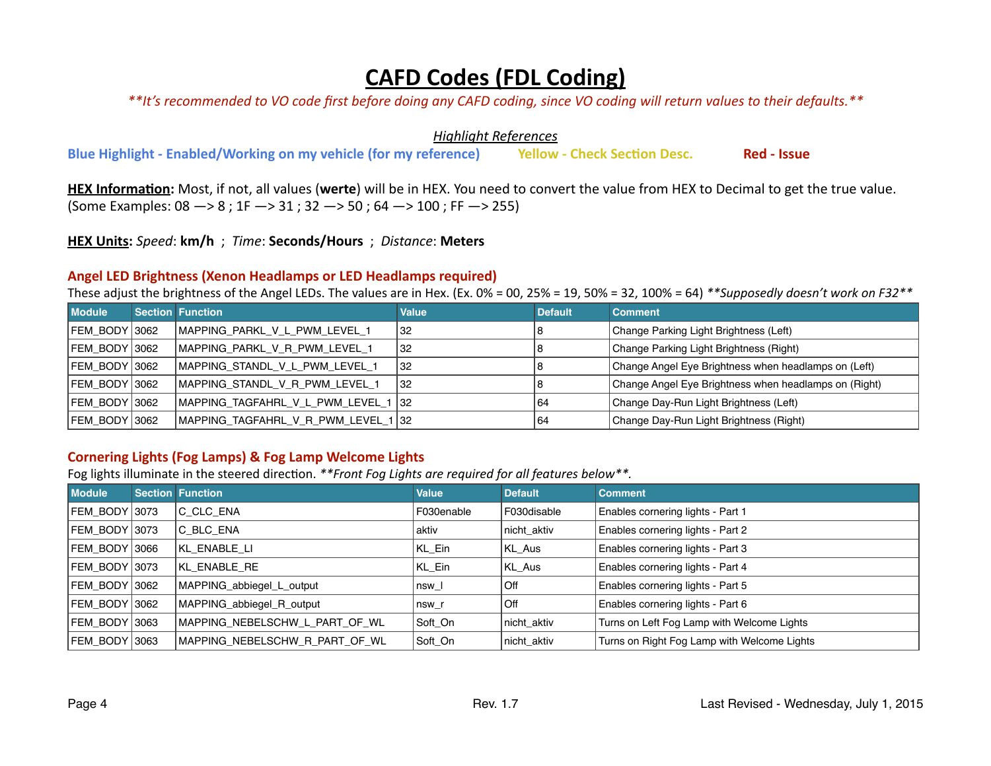## **CAFD Codes (FDL Coding)**

<span id="page-3-0"></span>\*\*It's recommended to VO code first before doing any CAFD coding, since VO coding will return values to their defaults.\*\*

**Highlight References** 

**Blue Highlight - Enabled/Working on my vehicle (for my reference) Yellow - Check Section Desc. Red - Issue** 

HEX Information: Most, if not, all values (werte) will be in HEX. You need to convert the value from HEX to Decimal to get the true value. (Some Examples:  $08 \rightarrow 8$ ;  $1F \rightarrow 31$ ;  $32 \rightarrow 50$ ;  $64 \rightarrow 100$ ; FF  $\rightarrow 255$ )

**HEX Units:** *Speed*: **km/h** ; *Time*: **Seconds/Hours** ; *Distance*: **Meters**

## Angel LED Brightness (Xenon Headlamps or LED Headlamps required)

These adjust the brightness of the Angel LEDs. The values are in Hex. (Ex. 0% = 00, 25% = 19, 50% = 32, 100% = 64) \*\*Supposedly doesn't work on F32\*\*

| <b>Module</b> | <b>Section Function</b>             | <b>Value</b> | <b>Default</b> | <b>Comment</b>                                        |
|---------------|-------------------------------------|--------------|----------------|-------------------------------------------------------|
| FEM BODY 3062 | MAPPING_PARKL_V_L_PWM_LEVEL_1       | 32           |                | Change Parking Light Brightness (Left)                |
| FEM BODY 3062 | MAPPING PARKL V R PWM LEVEL 1       | 32           |                | Change Parking Light Brightness (Right)               |
| FEM BODY 3062 | MAPPING STANDL V L PWM LEVEL 1      | 32           |                | Change Angel Eye Brightness when headlamps on (Left)  |
| FEM_BODY 3062 | MAPPING_STANDL_V_R_PWM_LEVEL_1      | 32           |                | Change Angel Eye Brightness when headlamps on (Right) |
| FEM BODY 3062 | MAPPING TAGFAHRL V L PWM LEVEL 1    | 32           | 64             | Change Day-Run Light Brightness (Left)                |
| FEM BODY 3062 | MAPPING_TAGFAHRL_V_R_PWM_LEVEL_1 32 |              | 64             | Change Day-Run Light Brightness (Right)               |

## **Cornering Lights (Fog Lamps) & Fog Lamp Welcome Lights**

Fog lights illuminate in the steered direction. \*\*Front Fog Lights are required for all features below\*\*.

| <b>Module</b>   | <b>Section Function</b>        | <b>Value</b> | <b>Default</b> | <b>Comment</b>                              |
|-----------------|--------------------------------|--------------|----------------|---------------------------------------------|
| FEM BODY 3073   | C CLC ENA                      | F030enable   | F030disable    | Enables cornering lights - Part 1           |
| FEM BODY 3073   | C BLC ENA                      | aktiv        | nicht_aktiv    | Enables cornering lights - Part 2           |
| FEM BODY 3066   | KL ENABLE LI                   | KL_Ein       | KL_Aus         | Enables cornering lights - Part 3           |
| FEM BODY 3073   | KL ENABLE RE                   | KL_Ein       | KL_Aus         | Enables cornering lights - Part 4           |
| FEM_BODY   3062 | MAPPING_abbiegel_L_output      | nsw I        | Off            | Enables cornering lights - Part 5           |
| FEM BODY 3062   | MAPPING abbiegel R output      | nsw r        | Off            | Enables cornering lights - Part 6           |
| FEM BODY 3063   | MAPPING NEBELSCHW L PART OF WL | Soft On      | nicht aktiv    | Turns on Left Fog Lamp with Welcome Lights  |
| FEM BODY 3063   | MAPPING NEBELSCHW R PART OF WL | Soft On      | nicht aktiv    | Turns on Right Fog Lamp with Welcome Lights |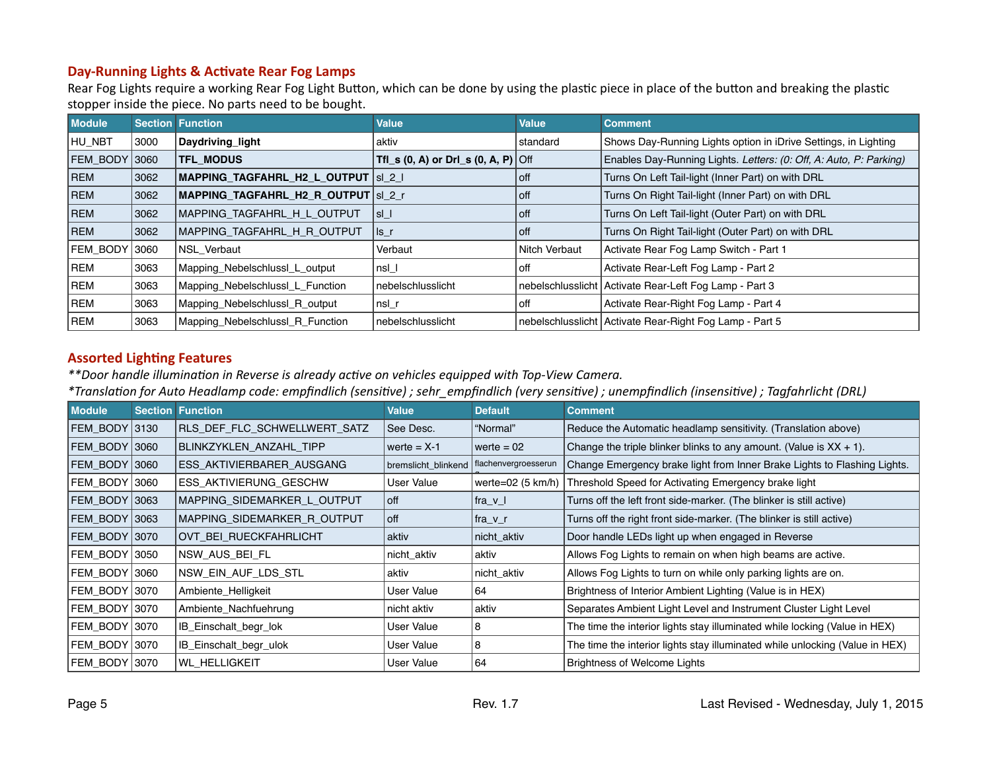## <span id="page-4-0"></span>Day-Running Lights & Activate Rear Fog Lamps

Rear Fog Lights require a working Rear Fog Light Button, which can be done by using the plastic piece in place of the button and breaking the plastic stopper inside the piece. No parts need to be bought.

| <b>Module</b> |       | <b>Section Function</b>               | <b>Value</b>                                | Value         | <b>Comment</b>                                                     |
|---------------|-------|---------------------------------------|---------------------------------------------|---------------|--------------------------------------------------------------------|
| HU NBT        | 3000  | Daydriving light                      | aktiv                                       | standard      | Shows Day-Running Lights option in iDrive Settings, in Lighting    |
| FEM BODY 3060 |       | <b>TFL MODUS</b>                      | Tfl_s (0, A) or Drl_s (0, A, P) $\vert$ Off |               | Enables Day-Running Lights. Letters: (0: Off, A: Auto, P: Parking) |
| <b>REM</b>    | 3062  | MAPPING TAGFAHRL H2 L OUTPUT   si 2 i |                                             | l off         | Turns On Left Tail-light (Inner Part) on with DRL                  |
| <b>REM</b>    | 3062  | MAPPING_TAGFAHRL_H2_R_OUTPUT   sl_2_r |                                             | l off         | Turns On Right Tail-light (Inner Part) on with DRL                 |
| <b>REM</b>    | 3062  | MAPPING TAGFAHRL H L OUTPUT           | Isl I                                       | l off         | Turns On Left Tail-light (Outer Part) on with DRL                  |
| <b>REM</b>    | 3062  | MAPPING_TAGFAHRL_H_R_OUTPUT           | lls r                                       | l off         | Turns On Right Tail-light (Outer Part) on with DRL                 |
| FEM BODY      | 13060 | <b>NSL Verbaut</b>                    | Verbaut                                     | Nitch Verbaut | Activate Rear Fog Lamp Switch - Part 1                             |
| <b>REM</b>    | 3063  | Mapping_Nebelschlussl_L_output        | $nsl_1$                                     | off           | Activate Rear-Left Fog Lamp - Part 2                               |
| <b>REM</b>    | 3063  | Mapping Nebelschlussl L Function      | nebelschlusslicht                           |               | nebelschlusslicht Activate Rear-Left Fog Lamp - Part 3             |
| <b>REM</b>    | 3063  | Mapping Nebelschlussl R output        | nsl_r                                       | off           | Activate Rear-Right Fog Lamp - Part 4                              |
| <b>REM</b>    | 3063  | Mapping Nebelschlussl R Function      | l nebelschlusslicht                         |               | nebelschlusslicht Activate Rear-Right Fog Lamp - Part 5            |

#### **Assorted Lighting Features**

\*\*Door handle illumination in Reverse is already active on vehicles equipped with Top-View Camera.

\*Translation for Auto Headlamp code: empfindlich (sensitive) ; sehr\_empfindlich (very sensitive) ; unempfindlich (insensitive) ; Tagfahrlicht (DRL)

| <b>Module</b>        | <b>Section Function</b>      | Value               | <b>Default</b>              | <b>Comment</b>                                                               |
|----------------------|------------------------------|---------------------|-----------------------------|------------------------------------------------------------------------------|
| <b>FEM BODY 3130</b> | RLS_DEF_FLC_SCHWELLWERT_SATZ | See Desc.           | "Normal"                    | Reduce the Automatic headlamp sensitivity. (Translation above)               |
| FEM BODY 3060        | BLINKZYKLEN ANZAHL TIPP      | werte $= X-1$       | werte $= 02$                | Change the triple blinker blinks to any amount. (Value is $XX + 1$ ).        |
| FEM BODY 3060        | ESS AKTIVIERBARER AUSGANG    | bremslicht blinkend | flachenvergroesserun        | Change Emergency brake light from Inner Brake Lights to Flashing Lights.     |
| FEM_BODY 3060        | ESS_AKTIVIERUNG_GESCHW       | User Value          | werte= $02(5 \text{ km/h})$ | Threshold Speed for Activating Emergency brake light                         |
| <b>FEM BODY 3063</b> | MAPPING SIDEMARKER L OUTPUT  | l off               | ∣fra_v_l                    | Turns off the left front side-marker. (The blinker is still active)          |
| <b>FEM BODY 3063</b> | MAPPING_SIDEMARKER_R_OUTPUT  | l off               | fra_v_r                     | Turns off the right front side-marker. (The blinker is still active)         |
| FEM BODY 3070        | OVT_BEI_RUECKFAHRLICHT       | aktiv               | nicht_aktiv                 | Door handle LEDs light up when engaged in Reverse                            |
| FEM_BODY 3050        | NSW_AUS_BEI_FL               | nicht_aktiv         | aktiv                       | Allows Fog Lights to remain on when high beams are active.                   |
| FEM BODY 3060        | NSW_EIN_AUF_LDS_STL          | aktiv               | nicht_aktiv                 | Allows Fog Lights to turn on while only parking lights are on.               |
| FEM_BODY 3070        | Ambiente_Helligkeit          | User Value          | 64                          | Brightness of Interior Ambient Lighting (Value is in HEX)                    |
| FEM_BODY   3070      | Ambiente Nachfuehrung        | nicht aktiv         | aktiv                       | Separates Ambient Light Level and Instrument Cluster Light Level             |
| FEM_BODY   3070      | IB_Einschalt_begr_lok        | User Value          | 8                           | The time the interior lights stay illuminated while locking (Value in HEX)   |
| FEM_BODY 3070        | IB_Einschalt_begr_ulok       | User Value          | 8                           | The time the interior lights stay illuminated while unlocking (Value in HEX) |
| FEM BODY 3070        | <b>WL HELLIGKEIT</b>         | User Value          | 64                          | <b>Brightness of Welcome Lights</b>                                          |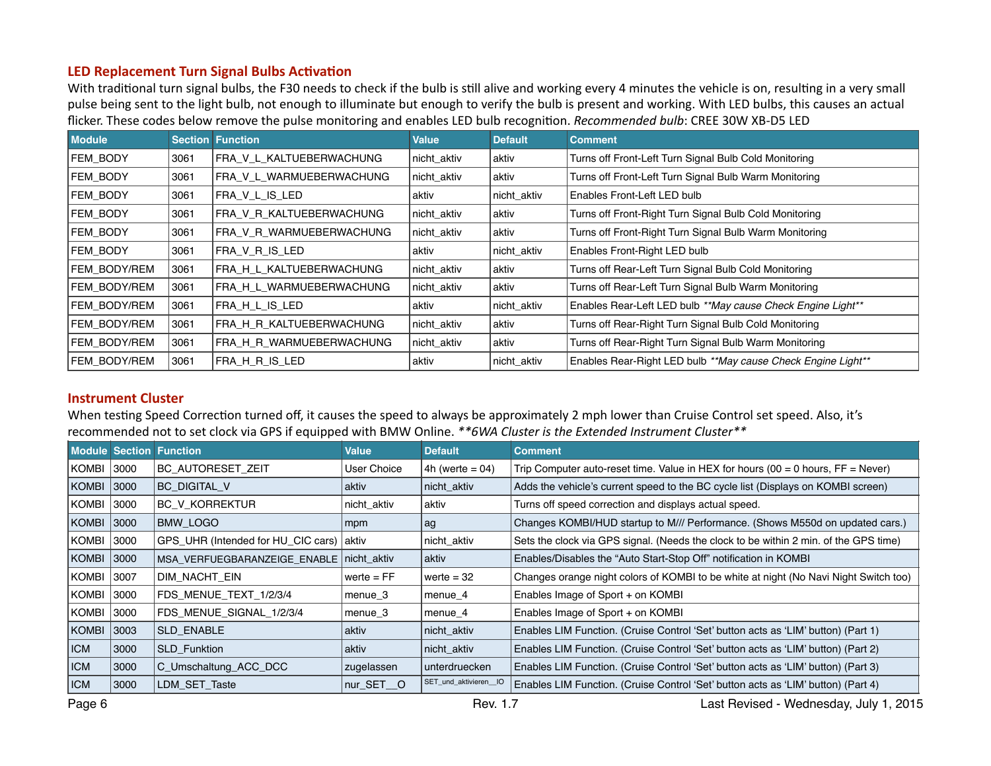#### <span id="page-5-0"></span>**LED Replacement Turn Signal Bulbs Activation**

With traditional turn signal bulbs, the F30 needs to check if the bulb is still alive and working every 4 minutes the vehicle is on, resulting in a very small pulse being sent to the light bulb, not enough to illuminate but enough to verify the bulb is present and working. With LED bulbs, this causes an actual flicker. These codes below remove the pulse monitoring and enables LED bulb recognition. *Recommended bulb*: CREE 30W XB-D5 LED

| <b>Module</b>   |      | <b>Section Function</b>  | <b>Value</b> | <b>Default</b> | <b>Comment</b>                                               |
|-----------------|------|--------------------------|--------------|----------------|--------------------------------------------------------------|
| <b>FEM BODY</b> | 3061 | FRA V L KALTUEBERWACHUNG | nicht aktiv  | aktiv          | Turns off Front-Left Turn Signal Bulb Cold Monitoring        |
| FEM BODY        | 3061 | FRA V L WARMUEBERWACHUNG | nicht aktiv  | aktiv          | Turns off Front-Left Turn Signal Bulb Warm Monitoring        |
| FEM BODY        | 3061 | FRA V L IS LED           | aktiv        | nicht aktiv    | Enables Front-Left LED bulb                                  |
| <b>FEM BODY</b> | 3061 | FRA_V_R_KALTUEBERWACHUNG | nicht aktiv  | aktiv          | Turns off Front-Right Turn Signal Bulb Cold Monitoring       |
| FEM BODY        | 3061 | FRA V R WARMUEBERWACHUNG | nicht_aktiv  | aktiv          | Turns off Front-Right Turn Signal Bulb Warm Monitoring       |
| FEM BODY        | 3061 | FRA V R IS LED           | aktiv        | nicht_aktiv    | Enables Front-Right LED bulb                                 |
| FEM BODY/REM    | 3061 | FRA H L KALTUEBERWACHUNG | nicht aktiv  | aktiv          | Turns off Rear-Left Turn Signal Bulb Cold Monitoring         |
| FEM BODY/REM    | 3061 | FRA H L WARMUEBERWACHUNG | nicht aktiv  | aktiv          | Turns off Rear-Left Turn Signal Bulb Warm Monitoring         |
| FEM BODY/REM    | 3061 | FRA_H_L_IS_LED           | aktiv        | nicht_aktiv    | Enables Rear-Left LED bulb **May cause Check Engine Light**  |
| FEM BODY/REM    | 3061 | FRA_H_R_KALTUEBERWACHUNG | nicht aktiv  | aktiv          | Turns off Rear-Right Turn Signal Bulb Cold Monitoring        |
| FEM BODY/REM    | 3061 | FRA H R WARMUEBERWACHUNG | nicht_aktiv  | aktiv          | Turns off Rear-Right Turn Signal Bulb Warm Monitoring        |
| FEM BODY/REM    | 3061 | FRA H R IS LED           | aktiv        | nicht aktiv    | Enables Rear-Right LED bulb **May cause Check Engine Light** |

#### **Instrument Cluster**

When testing Speed Correction turned off, it causes the speed to always be approximately 2 mph lower than Cruise Control set speed. Also, it's recommended not to set clock via GPS if equipped with BMW Online. \*\*6WA Cluster is the Extended Instrument Cluster\*\*

|            |       | <b>Module Section Function</b>             | Value        | <b>Default</b>        | <b>Comment</b>                                                                       |
|------------|-------|--------------------------------------------|--------------|-----------------------|--------------------------------------------------------------------------------------|
| KOMBI      | 3000  | <b>BC AUTORESET ZEIT</b>                   | User Choice  | 4h (werte $= 04$ )    | Trip Computer auto-reset time. Value in HEX for hours $(00 = 0$ hours, $FF = Never)$ |
| KOMBI      | 3000  | <b>BC DIGITAL V</b>                        | aktiv        | nicht aktiv           | Adds the vehicle's current speed to the BC cycle list (Displays on KOMBI screen)     |
| KOMBI      | 3000  | <b>BC V KORREKTUR</b>                      | nicht aktiv  | l aktiv               | Turns off speed correction and displays actual speed.                                |
| KOMBI      | 3000  | <b>BMW LOGO</b>                            | mpm          | ag                    | Changes KOMBI/HUD startup to M/// Performance. (Shows M550d on updated cars.)        |
| KOMBI      | 3000  | GPS_UHR (Intended for HU_CIC cars)   aktiv |              | nicht_aktiv           | Sets the clock via GPS signal. (Needs the clock to be within 2 min. of the GPS time) |
| KOMBI      | 3000  | MSA_VERFUEGBARANZEIGE_ENABLE   nicht_aktiv |              | aktiv                 | Enables/Disables the "Auto Start-Stop Off" notification in KOMBI                     |
| KOMBI      | 13007 | DIM NACHT EIN                              | werte $= FF$ | werte $=$ 32          | Changes orange night colors of KOMBI to be white at night (No Navi Night Switch too) |
| KOMBI      | 3000  | FDS MENUE TEXT 1/2/3/4                     | menue_3      | menue_4               | Enables Image of Sport + on KOMBI                                                    |
| KOMBI      | 3000  | FDS MENUE SIGNAL 1/2/3/4                   | menue_3      | menue_4               | Enables Image of Sport + on KOMBI                                                    |
| KOMBI      | 3003  | <b>SLD ENABLE</b>                          | aktiv        | nicht aktiv           | Enables LIM Function. (Cruise Control 'Set' button acts as 'LIM' button) (Part 1)    |
| <b>ICM</b> | 3000  | <b>SLD Funktion</b>                        | aktiv        | nicht aktiv           | Enables LIM Function. (Cruise Control 'Set' button acts as 'LIM' button) (Part 2)    |
| <b>ICM</b> | 3000  | C_Umschaltung_ACC_DCC                      | zugelassen   | unterdruecken         | Enables LIM Function. (Cruise Control 'Set' button acts as 'LIM' button) (Part 3)    |
| <b>ICM</b> | 3000  | LDM SET Taste                              | nur SET O    | SET_und_aktivieren_IO | Enables LIM Function. (Cruise Control 'Set' button acts as 'LIM' button) (Part 4)    |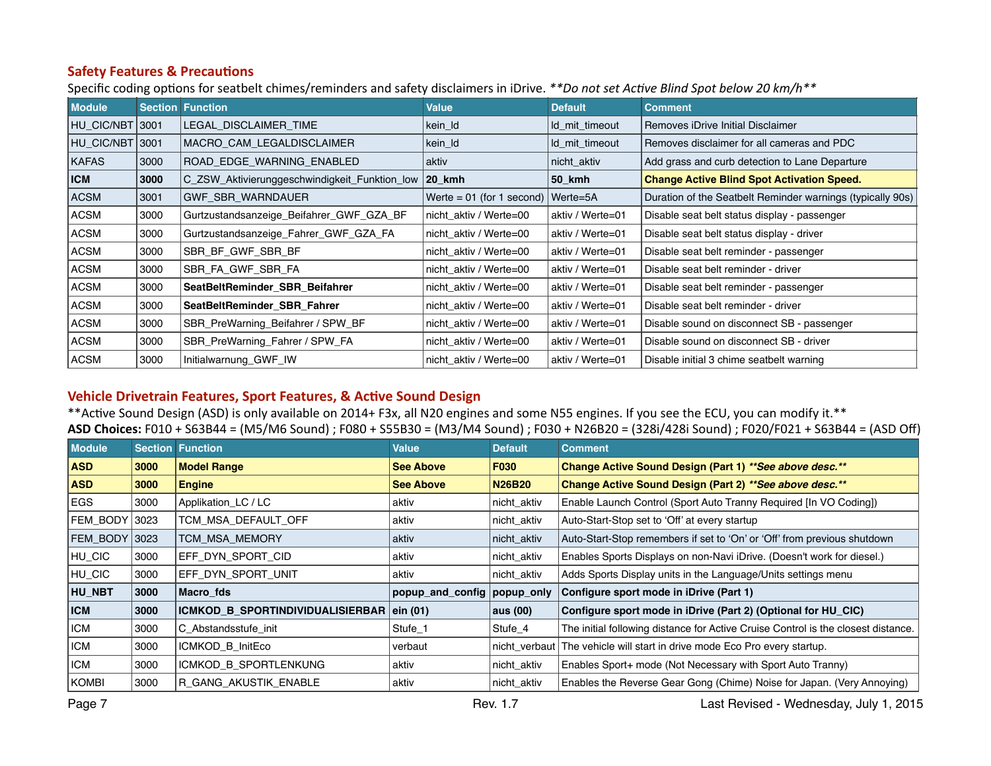#### <span id="page-6-0"></span>**Safety Features & Precautions**

Specific coding options for seatbelt chimes/reminders and safety disclaimers in iDrive. \*\*Do not set Active Blind Spot below 20 km/h\*\*

| <b>Module</b> |      | <b>Section Function</b>                       | Value                       | <b>Default</b>   | <b>Comment</b>                                             |
|---------------|------|-----------------------------------------------|-----------------------------|------------------|------------------------------------------------------------|
| HU CIC/NBT    | 3001 | LEGAL DISCLAIMER TIME                         | kein_ld                     | Id_mit_timeout   | Removes iDrive Initial Disclaimer                          |
| HU CIC/NBT    | 3001 | MACRO CAM LEGALDISCLAIMER                     | kein_ld                     | Id_mit_timeout   | Removes disclaimer for all cameras and PDC                 |
| <b>KAFAS</b>  | 3000 | ROAD_EDGE_WARNING_ENABLED                     | aktiv                       | nicht aktiv      | Add grass and curb detection to Lane Departure             |
| <b>ICM</b>    | 3000 | C_ZSW_Aktivierunggeschwindigkeit_Funktion_low | $ 20$ kmh                   | 50_kmh           | <b>Change Active Blind Spot Activation Speed.</b>          |
| <b>ACSM</b>   | 3001 | <b>GWF SBR WARNDAUER</b>                      | Werte = $01$ (for 1 second) | Werte=5A         | Duration of the Seatbelt Reminder warnings (typically 90s) |
| ACSM          | 3000 | Gurtzustandsanzeige Beifahrer GWF GZA BF      | nicht_aktiv / Werte=00      | aktiv / Werte=01 | Disable seat belt status display - passenger               |
| ACSM          | 3000 | Gurtzustandsanzeige Fahrer GWF GZA FA         | nicht aktiv / Werte=00      | aktiv / Werte=01 | Disable seat belt status display - driver                  |
| <b>ACSM</b>   | 3000 | SBR_BF_GWF_SBR_BF                             | nicht aktiv / Werte=00      | aktiv / Werte=01 | Disable seat belt reminder - passenger                     |
| <b>ACSM</b>   | 3000 | SBR_FA_GWF_SBR_FA                             | nicht aktiv / Werte=00      | aktiv / Werte=01 | Disable seat belt reminder - driver                        |
| ACSM          | 3000 | SeatBeltReminder SBR Beifahrer                | nicht aktiv / Werte=00      | aktiv / Werte=01 | Disable seat belt reminder - passenger                     |
| ACSM          | 3000 | SeatBeltReminder SBR Fahrer                   | nicht aktiv / Werte=00      | aktiv / Werte=01 | Disable seat belt reminder - driver                        |
| ACSM          | 3000 | SBR_PreWarning_Beifahrer / SPW_BF             | nicht aktiv / Werte=00      | aktiv / Werte=01 | Disable sound on disconnect SB - passenger                 |
| <b>ACSM</b>   | 3000 | SBR_PreWarning_Fahrer / SPW_FA                | nicht aktiv / Werte=00      | aktiv / Werte=01 | Disable sound on disconnect SB - driver                    |
| <b>ACSM</b>   | 3000 | Initialwarnung_GWF_IW                         | nicht aktiv / Werte=00      | aktiv / Werte=01 | Disable initial 3 chime seatbelt warning                   |

## **Vehicle Drivetrain Features, Sport Features, & Active Sound Design**

\*\*Active Sound Design (ASD) is only available on 2014+ F3x, all N20 engines and some N55 engines. If you see the ECU, you can modify it.\*\* **ASD Choices:** F010 + S63B44 = (M5/M6 Sound) ; F080 + S55B30 = (M3/M4 Sound) ; F030 + N26B20 = (328i/428i Sound) ; F020/F021 + S63B44 = (ASD Off)

| <b>Module</b> |      | <b>Section Function</b>                   | <b>Value</b>                  | <b>Default</b> | <b>Comment</b>                                                                    |
|---------------|------|-------------------------------------------|-------------------------------|----------------|-----------------------------------------------------------------------------------|
| <b>ASD</b>    | 3000 | <b>Model Range</b>                        | <b>See Above</b>              | <b>F030</b>    | Change Active Sound Design (Part 1) ** See above desc.**                          |
| <b>ASD</b>    | 3000 | <b>Engine</b>                             | <b>See Above</b>              | <b>N26B20</b>  | Change Active Sound Design (Part 2) ** See above desc.**                          |
| EGS           | 3000 | Applikation_LC / LC                       | aktiv                         | nicht_aktiv    | Enable Launch Control (Sport Auto Tranny Required [In VO Coding])                 |
| FEM BODY 3023 |      | TCM MSA DEFAULT OFF                       | aktiv                         | nicht aktiv    | Auto-Start-Stop set to 'Off' at every startup                                     |
| FEM BODY 3023 |      | TCM MSA MEMORY                            | aktiv                         | nicht_aktiv    | Auto-Start-Stop remembers if set to 'On' or 'Off' from previous shutdown          |
| HU CIC        | 3000 | EFF DYN SPORT CID                         | aktiv                         | nicht_aktiv    | Enables Sports Displays on non-Navi iDrive. (Doesn't work for diesel.)            |
| HU_CIC        | 3000 | EFF DYN SPORT UNIT                        | aktiv                         | nicht aktiv    | Adds Sports Display units in the Language/Units settings menu                     |
| <b>HU NBT</b> | 3000 | Macro fds                                 | popup_and_config   popup_only |                | Configure sport mode in iDrive (Part 1)                                           |
| <b>ICM</b>    | 3000 | ICMKOD_B_SPORTINDIVIDUALISIERBAR ein (01) |                               | aus (00)       | Configure sport mode in iDrive (Part 2) (Optional for HU_CIC)                     |
| <b>ICM</b>    | 3000 | C Abstandsstufe init                      | Stufe 1                       | Stufe 4        | The initial following distance for Active Cruise Control is the closest distance. |
| <b>ICM</b>    | 3000 | ICMKOD B InitEco                          | verbaut                       |                | nicht_verbaut The vehicle will start in drive mode Eco Pro every startup.         |
| <b>ICM</b>    | 3000 | ICMKOD B SPORTLENKUNG                     | aktiv                         | nicht_aktiv    | Enables Sport+ mode (Not Necessary with Sport Auto Tranny)                        |
| <b>KOMBI</b>  | 3000 | R GANG AKUSTIK ENABLE                     | aktiv                         | nicht_aktiv    | Enables the Reverse Gear Gong (Chime) Noise for Japan. (Very Annoying)            |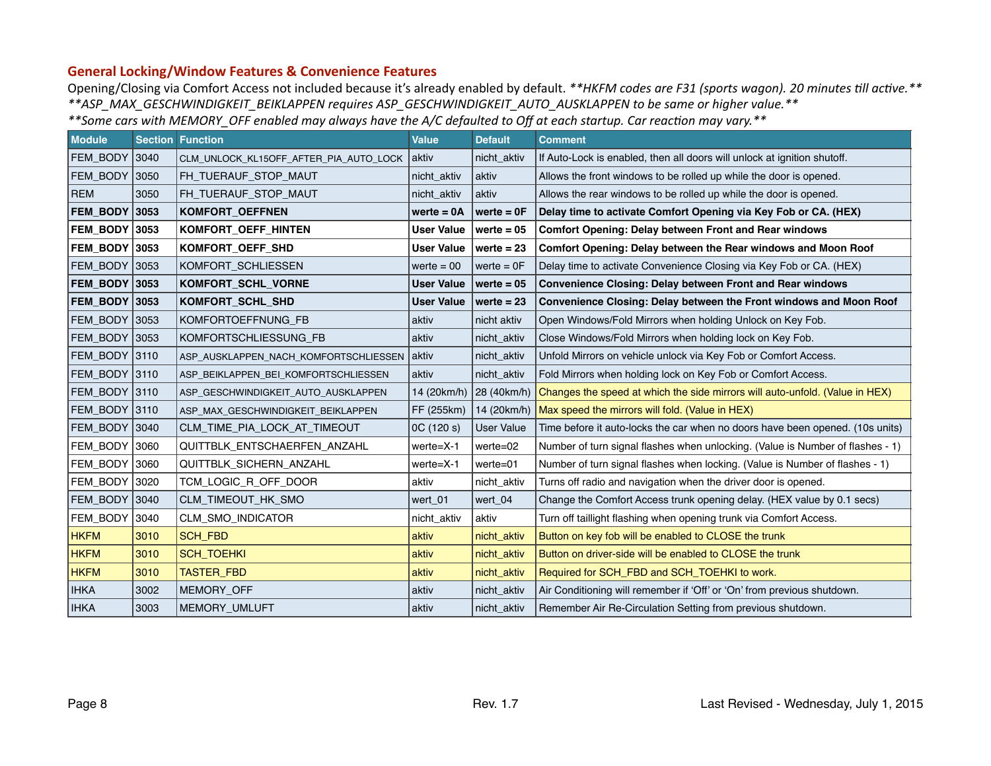#### <span id="page-7-0"></span>**General Locking/Window Features & Convenience Features**

Opening/Closing via Comfort Access not included because it's already enabled by default. \*\*HKFM codes are F31 (sports wagon). 20 minutes till active.\*\* *\*\*ASP\_MAX\_GESCHWINDIGKEIT\_BEIKLAPPEN requires ASP\_GESCHWINDIGKEIT\_AUTO\_AUSKLAPPEN to be same or higher value.\*\**  \*\*Some cars with MEMORY\_OFF enabled may always have the A/C defaulted to Off at each startup. Car reaction may vary.\*\*

| <b>Module</b>        |      | <b>Section Function</b>                | <b>Value</b>      | <b>Default</b>    | <b>Comment</b>                                                                           |
|----------------------|------|----------------------------------------|-------------------|-------------------|------------------------------------------------------------------------------------------|
| FEM BODY 3040        |      | CLM_UNLOCK_KL15OFF_AFTER_PIA_AUTO_LOCK | aktiv             | nicht aktiv       | If Auto-Lock is enabled, then all doors will unlock at ignition shutoff.                 |
| FEM_BODY 3050        |      | FH_TUERAUF_STOP_MAUT                   | nicht_aktiv       | aktiv             | Allows the front windows to be rolled up while the door is opened.                       |
| <b>REM</b>           | 3050 | FH_TUERAUF_STOP_MAUT                   | nicht_aktiv       | aktiv             | Allows the rear windows to be rolled up while the door is opened.                        |
| <b>FEM BODY 3053</b> |      | <b>KOMFORT OEFFNEN</b>                 | werte $= 0A$      | werte $= 0F$      | Delay time to activate Comfort Opening via Key Fob or CA. (HEX)                          |
| <b>FEM_BODY 3053</b> |      | <b>KOMFORT OEFF HINTEN</b>             | <b>User Value</b> | werte $= 05$      | <b>Comfort Opening: Delay between Front and Rear windows</b>                             |
| <b>FEM BODY 3053</b> |      | <b>KOMFORT OEFF SHD</b>                | <b>User Value</b> | werte $= 23$      | Comfort Opening: Delay between the Rear windows and Moon Roof                            |
| FEM_BODY 3053        |      | KOMFORT SCHLIESSEN                     | werte $= 00$      | werte $=$ $0F$    | Delay time to activate Convenience Closing via Key Fob or CA. (HEX)                      |
| <b>FEM BODY 3053</b> |      | KOMFORT_SCHL_VORNE                     | <b>User Value</b> | werte $= 05$      | <b>Convenience Closing: Delay between Front and Rear windows</b>                         |
| <b>FEM BODY 3053</b> |      | KOMFORT_SCHL_SHD                       | <b>User Value</b> | werte $= 23$      | Convenience Closing: Delay between the Front windows and Moon Roof                       |
| FEM_BODY 3053        |      | KOMFORTOEFFNUNG FB                     | aktiv             | nicht aktiv       | Open Windows/Fold Mirrors when holding Unlock on Key Fob.                                |
| FEM_BODY 3053        |      | KOMFORTSCHLIESSUNG_FB                  | aktiv             | nicht aktiv       | Close Windows/Fold Mirrors when holding lock on Key Fob.                                 |
| FEM_BODY 3110        |      | ASP_AUSKLAPPEN_NACH_KOMFORTSCHLIESSEN  | <b>aktiv</b>      | nicht aktiv       | Unfold Mirrors on vehicle unlock via Key Fob or Comfort Access.                          |
| FEM_BODY 3110        |      | ASP_BEIKLAPPEN_BEI_KOMFORTSCHLIESSEN   | aktiv             | nicht_aktiv       | Fold Mirrors when holding lock on Key Fob or Comfort Access.                             |
| FEM BODY 3110        |      | ASP_GESCHWINDIGKEIT_AUTO_AUSKLAPPEN    | 14 (20km/h)       |                   | 28 (40km/h) Changes the speed at which the side mirrors will auto-unfold. (Value in HEX) |
| FEM_BODY 3110        |      | ASP MAX GESCHWINDIGKEIT BEIKLAPPEN     | FF (255km)        |                   | 14 (20km/h)   Max speed the mirrors will fold. (Value in HEX)                            |
| FEM_BODY 3040        |      | CLM_TIME_PIA_LOCK_AT_TIMEOUT           | 0C (120 s)        | <b>User Value</b> | Time before it auto-locks the car when no doors have been opened. (10s units)            |
| FEM BODY             | 3060 | QUITTBLK_ENTSCHAERFEN_ANZAHL           | $werte = X-1$     | werte=02          | Number of turn signal flashes when unlocking. (Value is Number of flashes - 1)           |
| FEM_BODY 3060        |      | QUITTBLK_SICHERN_ANZAHL                | werte=X-1         | werte=01          | Number of turn signal flashes when locking. (Value is Number of flashes - 1)             |
| FEM BODY 3020        |      | TCM_LOGIC_R_OFF_DOOR                   | aktiv             | nicht_aktiv       | Turns off radio and navigation when the driver door is opened.                           |
| FEM_BODY 3040        |      | CLM_TIMEOUT_HK_SMO                     | wert_01           | wert_04           | Change the Comfort Access trunk opening delay. (HEX value by 0.1 secs)                   |
| FEM_BODY             | 3040 | CLM_SMO_INDICATOR                      | nicht aktiv       | aktiv             | Turn off taillight flashing when opening trunk via Comfort Access.                       |
| <b>HKFM</b>          | 3010 | <b>SCH FBD</b>                         | aktiv             | nicht_aktiv       | Button on key fob will be enabled to CLOSE the trunk                                     |
| <b>HKFM</b>          | 3010 | <b>SCH_TOEHKI</b>                      | aktiv             | nicht_aktiv       | Button on driver-side will be enabled to CLOSE the trunk                                 |
| <b>HKFM</b>          | 3010 | TASTER_FBD                             | aktiv             | nicht_aktiv       | Required for SCH_FBD and SCH_TOEHKI to work.                                             |
| <b>IHKA</b>          | 3002 | MEMORY_OFF                             | aktiv             | nicht_aktiv       | Air Conditioning will remember if 'Off' or 'On' from previous shutdown.                  |
| <b>IHKA</b>          | 3003 | MEMORY_UMLUFT                          | aktiv             | nicht_aktiv       | Remember Air Re-Circulation Setting from previous shutdown.                              |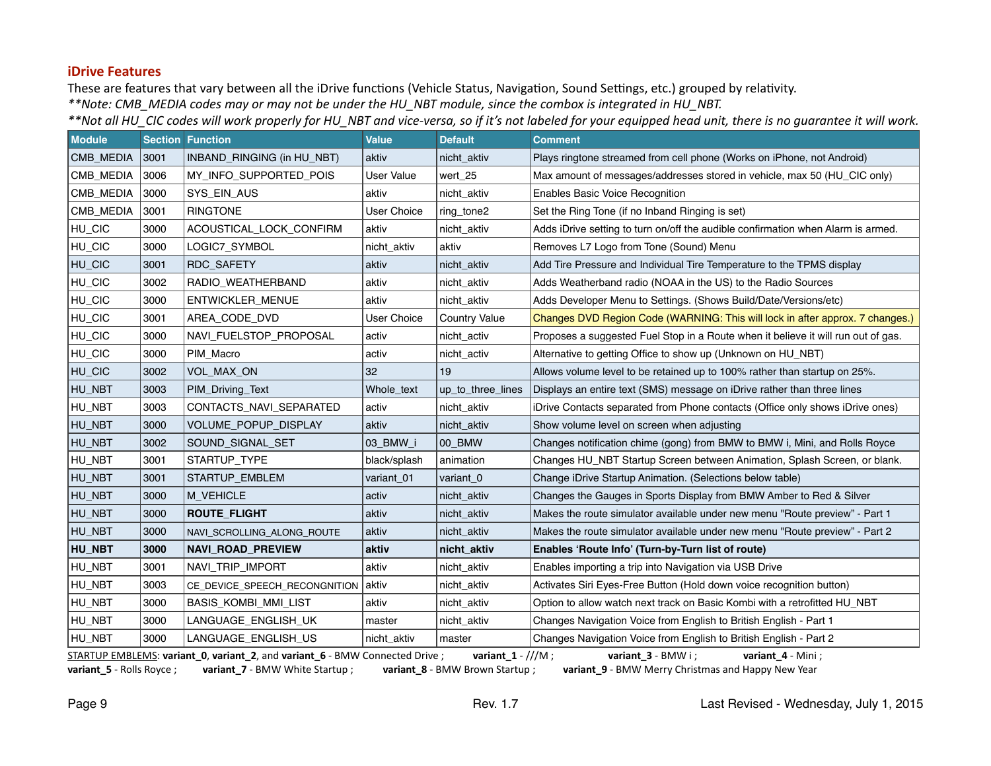#### <span id="page-8-0"></span>**iDrive Features**

These are features that vary between all the iDrive functions (Vehicle Status, Navigation, Sound Settings, etc.) grouped by relativity. \*\*Note: CMB\_MEDIA codes may or may not be under the HU\_NBT module, since the combox is integrated in HU\_NBT.

\*\*Not all HU\_CIC codes will work properly for HU\_NBT and vice-versa, so if it's not labeled for your equipped head unit, there is no quarantee it will work.

| <b>Module</b> |      | <b>Section Function</b>             | <b>Value</b>       | <b>Default</b>       | <b>Comment</b>                                                                    |
|---------------|------|-------------------------------------|--------------------|----------------------|-----------------------------------------------------------------------------------|
| CMB MEDIA     | 3001 | INBAND_RINGING (in HU_NBT)          | aktiv              | nicht aktiv          | Plays ringtone streamed from cell phone (Works on iPhone, not Android)            |
| CMB MEDIA     | 3006 | MY INFO SUPPORTED POIS              | <b>User Value</b>  | wert 25              | Max amount of messages/addresses stored in vehicle, max 50 (HU CIC only)          |
| CMB MEDIA     | 3000 | SYS EIN AUS                         | aktiv              | nicht aktiv          | <b>Enables Basic Voice Recognition</b>                                            |
| CMB_MEDIA     | 3001 | <b>RINGTONE</b>                     | <b>User Choice</b> | ring_tone2           | Set the Ring Tone (if no Inband Ringing is set)                                   |
| HU_CIC        | 3000 | ACOUSTICAL_LOCK_CONFIRM             | aktiv              | nicht_aktiv          | Adds iDrive setting to turn on/off the audible confirmation when Alarm is armed.  |
| HU_CIC        | 3000 | LOGIC7_SYMBOL                       | nicht_aktiv        | aktiv                | Removes L7 Logo from Tone (Sound) Menu                                            |
| HU_CIC        | 3001 | RDC_SAFETY                          | aktiv              | nicht_aktiv          | Add Tire Pressure and Individual Tire Temperature to the TPMS display             |
| HU_CIC        | 3002 | RADIO_WEATHERBAND                   | aktiv              | nicht_aktiv          | Adds Weatherband radio (NOAA in the US) to the Radio Sources                      |
| HU_CIC        | 3000 | ENTWICKLER_MENUE                    | aktiv              | nicht_aktiv          | Adds Developer Menu to Settings. (Shows Build/Date/Versions/etc)                  |
| HU_CIC        | 3001 | AREA_CODE_DVD                       | <b>User Choice</b> | <b>Country Value</b> | Changes DVD Region Code (WARNING: This will lock in after approx. 7 changes.)     |
| HU_CIC        | 3000 | NAVI_FUELSTOP_PROPOSAL              | activ              | nicht_activ          | Proposes a suggested Fuel Stop in a Route when it believe it will run out of gas. |
| HU_CIC        | 3000 | PIM_Macro                           | activ              | nicht_activ          | Alternative to getting Office to show up (Unknown on HU_NBT)                      |
| HU_CIC        | 3002 | <b>VOL MAX ON</b>                   | 32                 | 19                   | Allows volume level to be retained up to 100% rather than startup on 25%.         |
| HU_NBT        | 3003 | PIM_Driving_Text                    | Whole_text         | up_to_three_lines    | Displays an entire text (SMS) message on iDrive rather than three lines           |
| HU_NBT        | 3003 | CONTACTS NAVI SEPARATED             | activ              | nicht_aktiv          | iDrive Contacts separated from Phone contacts (Office only shows iDrive ones)     |
| HU_NBT        | 3000 | <b>VOLUME POPUP DISPLAY</b>         | aktiv              | nicht_aktiv          | Show volume level on screen when adjusting                                        |
| HU_NBT        | 3002 | SOUND SIGNAL SET                    | 03 BMW i           | 00 BMW               | Changes notification chime (gong) from BMW to BMW i, Mini, and Rolls Royce        |
| HU_NBT        | 3001 | STARTUP TYPE                        | black/splash       | animation            | Changes HU NBT Startup Screen between Animation, Splash Screen, or blank.         |
| HU_NBT        | 3001 | STARTUP_EMBLEM                      | variant_01         | variant <sub>0</sub> | Change iDrive Startup Animation. (Selections below table)                         |
| HU_NBT        | 3000 | M_VEHICLE                           | activ              | nicht_aktiv          | Changes the Gauges in Sports Display from BMW Amber to Red & Silver               |
| HU_NBT        | 3000 | <b>ROUTE_FLIGHT</b>                 | aktiv              | nicht_aktiv          | Makes the route simulator available under new menu "Route preview" - Part 1       |
| HU_NBT        | 3000 | NAVI_SCROLLING_ALONG_ROUTE          | aktiv              | nicht_aktiv          | Makes the route simulator available under new menu "Route preview" - Part 2       |
| HU_NBT        | 3000 | <b>NAVI ROAD PREVIEW</b>            | aktiv              | nicht_aktiv          | Enables 'Route Info' (Turn-by-Turn list of route)                                 |
| HU_NBT        | 3001 | NAVI_TRIP_IMPORT                    | aktiv              | nicht_aktiv          | Enables importing a trip into Navigation via USB Drive                            |
| HU_NBT        | 3003 | CE_DEVICE_SPEECH_RECONGNITION aktiv |                    | nicht_aktiv          | Activates Siri Eyes-Free Button (Hold down voice recognition button)              |
| HU_NBT        | 3000 | BASIS_KOMBI_MMI_LIST                | aktiv              | nicht_aktiv          | Option to allow watch next track on Basic Kombi with a retrofitted HU_NBT         |
| HU_NBT        | 3000 | LANGUAGE_ENGLISH_UK                 | master             | nicht_aktiv          | Changes Navigation Voice from English to British English - Part 1                 |
| HU_NBT        | 3000 | LANGUAGE_ENGLISH_US                 | nicht aktiv        | master               | Changes Navigation Voice from English to British English - Part 2                 |

STARTUP EMBLEMS: variant\_0, variant\_2, and variant\_6 - BMW Connected Drive ; variant\_1 - ///M ; variant\_3 - BMW i ; variant\_4 - Mini ; variant\_5 - Rolls Royce ; variant\_7 - BMW White Startup ; variant\_8 - BMW Brown Startup ; variant\_9 - BMW Merry Christmas and Happy New Year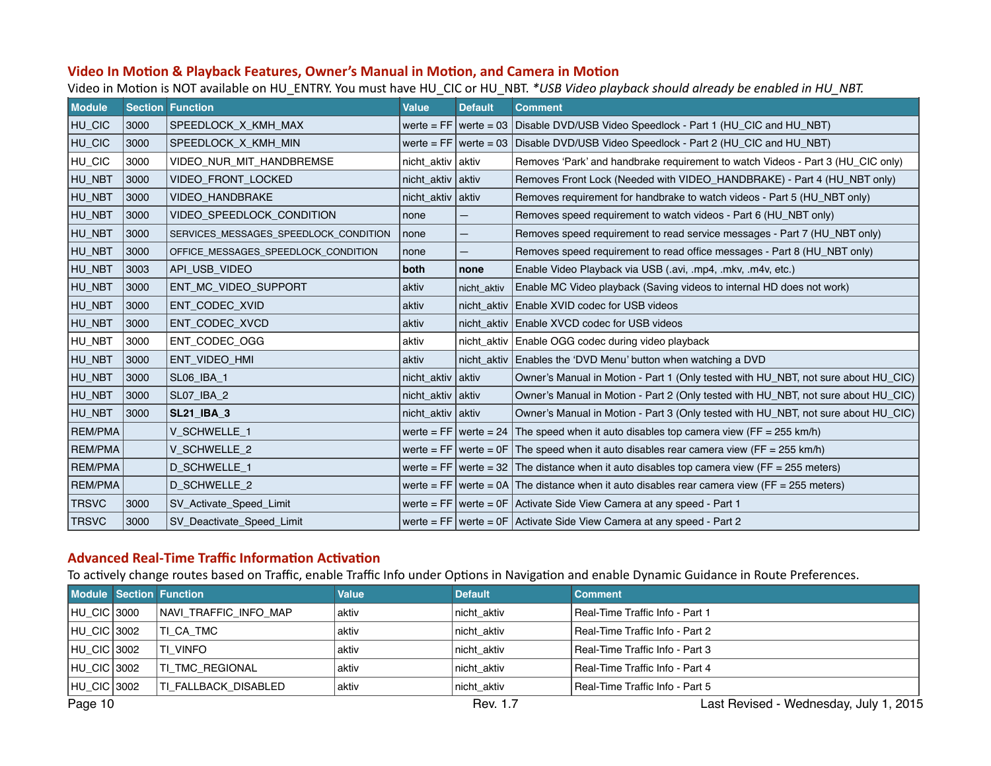#### <span id="page-9-0"></span>Video In Motion & Playback Features, Owner's Manual in Motion, and Camera in Motion

Video in Motion is NOT available on HU\_ENTRY. You must have HU\_CIC or HU\_NBT. \*USB Video playback should already be enabled in HU\_NBT.

| <b>Module</b>  |      | <b>Section Function</b>               | <b>Value</b>         | <b>Default</b> | <b>Comment</b>                                                                              |
|----------------|------|---------------------------------------|----------------------|----------------|---------------------------------------------------------------------------------------------|
| HU_CIC         | 3000 | SPEEDLOCK X KMH MAX                   |                      |                | werte = $FF$ werte = 03   Disable DVD/USB Video Speedlock - Part 1 (HU_CIC and HU_NBT)      |
| HU_CIC         | 3000 | SPEEDLOCK X KMH MIN                   |                      |                | werte = $FF$ werte = 03 Disable DVD/USB Video Speedlock - Part 2 (HU CIC and HU NBT)        |
| HU_CIC         | 3000 | VIDEO NUR MIT HANDBREMSE              | nicht_aktiv aktiv    |                | Removes 'Park' and handbrake requirement to watch Videos - Part 3 (HU CIC only)             |
| HU_NBT         | 3000 | VIDEO_FRONT_LOCKED                    | $nicht\_aktiv$ aktiv |                | Removes Front Lock (Needed with VIDEO_HANDBRAKE) - Part 4 (HU_NBT only)                     |
| HU_NBT         | 3000 | <b>VIDEO HANDBRAKE</b>                | nicht aktiv aktiv    |                | Removes requirement for handbrake to watch videos - Part 5 (HU_NBT only)                    |
| HU_NBT         | 3000 | <b>VIDEO SPEEDLOCK CONDITION</b>      | none                 | —              | Removes speed requirement to watch videos - Part 6 (HU_NBT only)                            |
| HU_NBT         | 3000 | SERVICES MESSAGES SPEEDLOCK CONDITION | none                 |                | Removes speed requirement to read service messages - Part 7 (HU NBT only)                   |
| HU_NBT         | 3000 | OFFICE_MESSAGES_SPEEDLOCK_CONDITION   | none                 |                | Removes speed requirement to read office messages - Part 8 (HU_NBT only)                    |
| HU_NBT         | 3003 | API_USB_VIDEO                         | both                 | none           | Enable Video Playback via USB (.avi, .mp4, .mkv, .m4v, etc.)                                |
| HU_NBT         | 3000 | ENT MC VIDEO SUPPORT                  | aktiv                | nicht aktiv    | Enable MC Video playback (Saving videos to internal HD does not work)                       |
| HU_NBT         | 3000 | ENT CODEC XVID                        | aktiv                |                | nicht aktiv Enable XVID codec for USB videos                                                |
| HU_NBT         | 3000 | ENT_CODEC_XVCD                        | aktiv                |                | nicht aktiv Enable XVCD codec for USB videos                                                |
| HU_NBT         | 3000 | ENT_CODEC_OGG                         | aktiv                |                | nicht_aktiv Enable OGG codec during video playback                                          |
| HU_NBT         | 3000 | ENT_VIDEO_HMI                         | aktiv                |                | nicht_aktiv   Enables the 'DVD Menu' button when watching a DVD                             |
| HU_NBT         | 3000 | SL06_IBA_1                            | nicht aktiv          | aktiv          | Owner's Manual in Motion - Part 1 (Only tested with HU NBT, not sure about HU CIC)          |
| HU_NBT         | 3000 | SL07_IBA_2                            | nicht_aktiv aktiv    |                | Owner's Manual in Motion - Part 2 (Only tested with HU_NBT, not sure about HU_CIC)          |
| HU_NBT         | 3000 | <b>SL21_IBA_3</b>                     | nicht_aktiv aktiv    |                | Owner's Manual in Motion - Part 3 (Only tested with HU_NBT, not sure about HU_CIC)          |
| <b>REM/PMA</b> |      | V SCHWELLE 1                          |                      |                | werte = FF werte = 24 The speed when it auto disables top camera view (FF = 255 km/h)       |
| <b>REM/PMA</b> |      | V_SCHWELLE_2                          |                      |                | werte = FF werte = $OF$ The speed when it auto disables rear camera view (FF = 255 km/h)    |
| <b>REM/PMA</b> |      | <b>D SCHWELLE 1</b>                   |                      |                | werte = FF werte = 32 The distance when it auto disables top camera view (FF = 255 meters)  |
| <b>REM/PMA</b> |      | <b>D SCHWELLE 2</b>                   |                      |                | werte = FF werte = 0A The distance when it auto disables rear camera view (FF = 255 meters) |
| <b>TRSVC</b>   | 3000 | SV Activate Speed Limit               |                      |                | werte = $FF$ werte = $OF$ Activate Side View Camera at any speed - Part 1                   |
| <b>TRSVC</b>   | 3000 | SV_Deactivate_Speed_Limit             |                      |                | werte = $FF$ werte = $OF$ Activate Side View Camera at any speed - Part 2                   |

## **Advanced Real-Time Traffic Information Activation**

To actively change routes based on Traffic, enable Traffic Info under Options in Navigation and enable Dynamic Guidance in Route Preferences.

|               | <b>Module Section Function</b> | <b>Value</b> | <b>Default</b> | <b>Comment</b>                    |
|---------------|--------------------------------|--------------|----------------|-----------------------------------|
| HU CIC 3000   | NAVI TRAFFIC INFO MAP          | aktiv        | nicht aktiv    | l Real-Time Traffic Info - Part 1 |
| HU CIC 3002   | ITI CA TMC                     | aktiv        | Inicht aktiv   | l Real-Time Traffic Info - Part 2 |
| HU CIC 3002   | <b>ITI VINFO</b>               | aktiv        | Inicht aktiv   | l Real-Time Traffic Info - Part 3 |
| HU CIC 3002   | <b>TI TMC REGIONAL</b>         | aktiv        | Inicht aktiv   | l Real-Time Traffic Info - Part 4 |
| HU_CIC   3002 | TI FALLBACK DISABLED           | aktiv        | Inicht aktiv   | l Real-Time Traffic Info - Part 5 |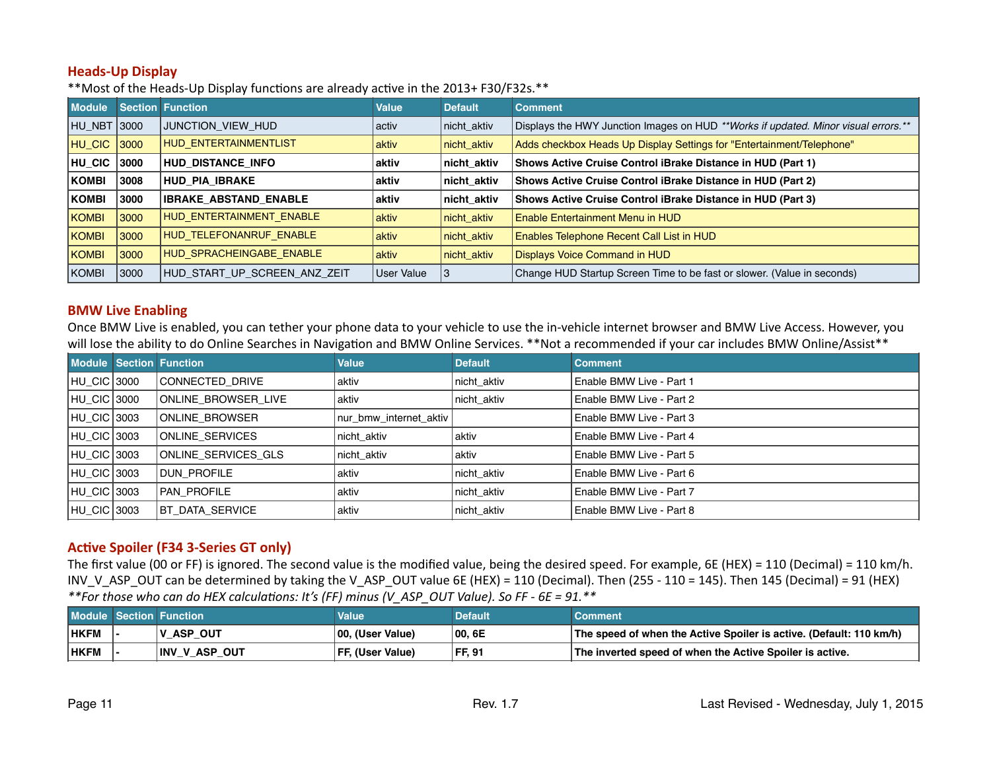#### <span id="page-10-0"></span>**Heads-Up Display**

\*\*Most of the Heads-Up Display functions are already active in the 2013+ F30/F32s.\*\*

| <b>Module</b> |      | <b>Section Function</b>      | <b>Value</b> | <b>Default</b> | <b>Comment</b>                                                                     |
|---------------|------|------------------------------|--------------|----------------|------------------------------------------------------------------------------------|
| HU NBT 3000   |      | JUNCTION VIEW HUD            | activ        | nicht aktiv    | Displays the HWY Junction Images on HUD **Works if updated. Minor visual errors.** |
| HU CIC        | 3000 | <b>HUD ENTERTAINMENTLIST</b> | aktiv        | nicht_aktiv    | Adds checkbox Heads Up Display Settings for "Entertainment/Telephone"              |
| HU CIC        | 3000 | <b>HUD DISTANCE INFO</b>     | aktiv        | nicht aktiv    | Shows Active Cruise Control iBrake Distance in HUD (Part 1)                        |
| KOMBI         | 3008 | HUD PIA IBRAKE               | aktiv        | ∣nicht_aktiv   | Shows Active Cruise Control iBrake Distance in HUD (Part 2)                        |
| KOMBI         | 3000 | <b>IBRAKE_ABSTAND_ENABLE</b> | aktiv        | ∣nicht_aktiv   | Shows Active Cruise Control iBrake Distance in HUD (Part 3)                        |
| <b>KOMBI</b>  | 3000 | HUD_ENTERTAINMENT_ENABLE     | aktiv        | nicht aktiv    | <b>Enable Entertainment Menu in HUD</b>                                            |
| <b>KOMBI</b>  | 3000 | HUD_TELEFONANRUF_ENABLE      | aktiv        | nicht aktiv    | Enables Telephone Recent Call List in HUD                                          |
| <b>KOMBI</b>  | 3000 | HUD SPRACHEINGABE ENABLE     | aktiv        | nicht_aktiv    | <b>Displays Voice Command in HUD</b>                                               |
| KOMBI         | 3000 | HUD START UP SCREEN ANZ ZEIT | User Value   |                | Change HUD Startup Screen Time to be fast or slower. (Value in seconds)            |

#### **BMW Live Enabling**

Once BMW Live is enabled, you can tether your phone data to your vehicle to use the in-vehicle internet browser and BMW Live Access. However, you will lose the ability to do Online Searches in Navigation and BMW Online Services. \*\*Not a recommended if your car includes BMW Online/Assist\*\*

|                    | Module Section Function | <b>Value</b>           | <b>Default</b> | <b>Comment</b>           |
|--------------------|-------------------------|------------------------|----------------|--------------------------|
| HU CIC 3000        | CONNECTED DRIVE         | aktiv                  | nicht aktiv    | Enable BMW Live - Part 1 |
| HU CIC 3000        | ONLINE BROWSER LIVE     | aktiv                  | nicht aktiv    | Enable BMW Live - Part 2 |
| HU CIC 3003        | ONLINE BROWSER          | nur bmw internet aktiv |                | Enable BMW Live - Part 3 |
| <b>HU CIC 3003</b> | IONLINE SERVICES        | nicht aktiv            | aktiv          | Enable BMW Live - Part 4 |
| HU CIC 3003        | ONLINE SERVICES GLS     | nicht aktiv            | aktiv          | Enable BMW Live - Part 5 |
| HU_CIC 3003        | I DUN PROFILE           | aktiv                  | nicht aktiv    | Enable BMW Live - Part 6 |
| HU CIC 3003        | <b>PAN PROFILE</b>      | aktiv                  | nicht aktiv    | Enable BMW Live - Part 7 |
| HU CIC 3003        | BT DATA SERVICE         | aktiv                  | nicht aktiv    | Enable BMW Live - Part 8 |

## **Active Spoiler (F34 3-Series GT only)**

The first value (00 or FF) is ignored. The second value is the modified value, being the desired speed. For example, 6E (HEX) = 110 (Decimal) = 110 km/h. INV\_V\_ASP\_OUT can be determined by taking the V\_ASP\_OUT value 6E (HEX) = 110 (Decimal). Then (255 - 110 = 145). Then 145 (Decimal) = 91 (HEX) \*\*For those who can do HEX calculations: It's (FF) minus (V\_ASP\_OUT Value). So FF - 6E = 91.\*\*

|             | Module Section Function | Value                   | <b>Default</b> | Comment                                                             |
|-------------|-------------------------|-------------------------|----------------|---------------------------------------------------------------------|
| <b>HKFM</b> | <b>V ASP OUT</b>        | 100, (User Value)       | 00, 6E         | The speed of when the Active Spoiler is active. (Default: 110 km/h) |
| <b>HKFM</b> | <b>INV_V_ASP_OUT</b>    | <b>FF, (User Value)</b> | FF, 91         | The inverted speed of when the Active Spoiler is active.            |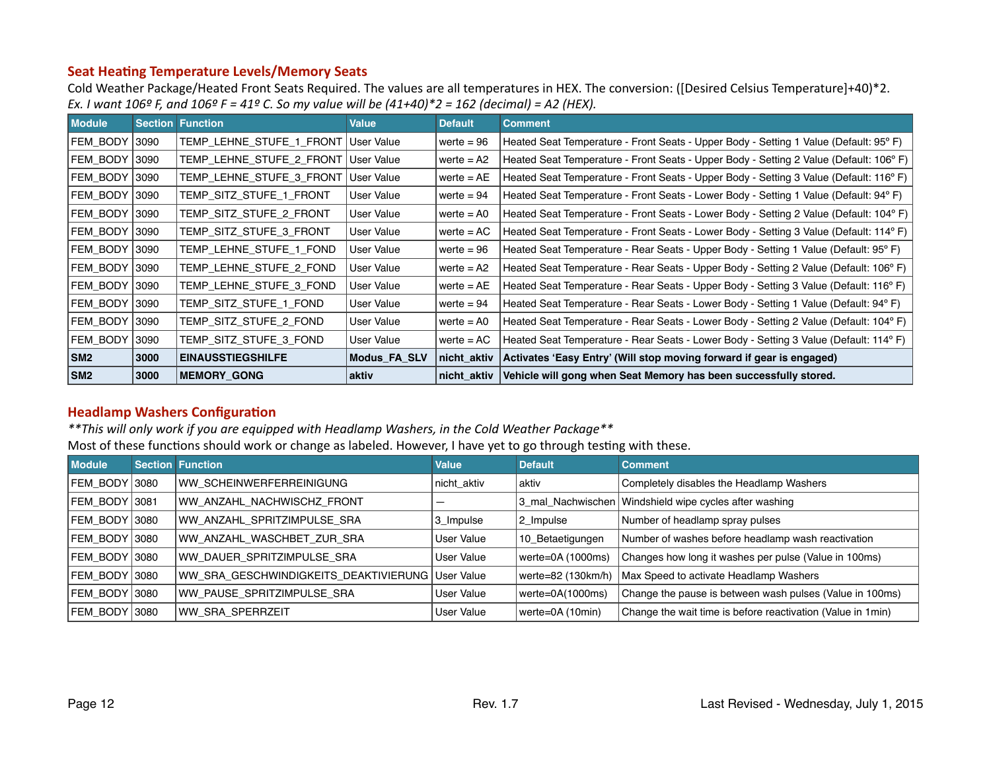#### <span id="page-11-0"></span>**Seat Heating Temperature Levels/Memory Seats**

Cold Weather Package/Heated Front Seats Required. The values are all temperatures in HEX. The conversion: ([Desired Celsius Temperature]+40)\*2. *Ex. I* want  $106^{\circ}$  *F, and*  $106^{\circ}$  *F = 41° C.* So my value will be  $(41+40)^*$ 2 = 162 (decimal) = A2 (HEX).

| <b>Module</b>        |       | <b>Section Function</b>  | <b>Value</b>        | <b>Default</b> | <b>Comment</b>                                                                        |
|----------------------|-------|--------------------------|---------------------|----------------|---------------------------------------------------------------------------------------|
| FEM BODY 3090        |       | TEMP_LEHNE_STUFE_1_FRONT | User Value          | werte = $96$   | Heated Seat Temperature - Front Seats - Upper Body - Setting 1 Value (Default: 95°F)  |
| <b>FEM BODY 3090</b> |       | TEMP LEHNE STUFE 2 FRONT | User Value          | werte $=$ A2   | Heated Seat Temperature - Front Seats - Upper Body - Setting 2 Value (Default: 106°F) |
| <b>FEM BODY 3090</b> |       | TEMP_LEHNE_STUFE_3_FRONT | User Value          | werte $=$ AE   | Heated Seat Temperature - Front Seats - Upper Body - Setting 3 Value (Default: 116°F) |
| <b>FEM BODY 3090</b> |       | TEMP_SITZ_STUFE_1_FRONT  | User Value          | werte $= 94$   | Heated Seat Temperature - Front Seats - Lower Body - Setting 1 Value (Default: 94°F)  |
| FEM BODY 3090        |       | TEMP SITZ STUFE 2 FRONT  | User Value          | werte $=$ A0   | Heated Seat Temperature - Front Seats - Lower Body - Setting 2 Value (Default: 104°F) |
| FEM BODY 3090        |       | TEMP SITZ STUFE 3 FRONT  | User Value          | ' werte = AC   | Heated Seat Temperature - Front Seats - Lower Body - Setting 3 Value (Default: 114°F) |
| FEM BODY 3090        |       | TEMP LEHNE STUFE 1 FOND  | User Value          | werte $= 96$   | Heated Seat Temperature - Rear Seats - Upper Body - Setting 1 Value (Default: 95°F)   |
| <b>FEM BODY 3090</b> |       | TEMP LEHNE STUFE 2 FOND  | User Value          | werte $= A2$   | Heated Seat Temperature - Rear Seats - Upper Body - Setting 2 Value (Default: 106°F)  |
| <b>FEM BODY 3090</b> |       | TEMP LEHNE STUFE 3 FOND  | User Value          | werte $=$ AE   | Heated Seat Temperature - Rear Seats - Upper Body - Setting 3 Value (Default: 116°F)  |
| FEM BODY 3090        |       | TEMP SITZ STUFE 1 FOND   | User Value          | werte $= 94$   | Heated Seat Temperature - Rear Seats - Lower Body - Setting 1 Value (Default: 94°F)   |
| <b>FEM BODY 3090</b> |       | TEMP_SITZ_STUFE_2_FOND   | User Value          | werte $=$ A0   | Heated Seat Temperature - Rear Seats - Lower Body - Setting 2 Value (Default: 104°F)  |
| FEM BODY             | 13090 | TEMP SITZ STUFE 3 FOND   | User Value          | werte $= AC$   | Heated Seat Temperature - Rear Seats - Lower Body - Setting 3 Value (Default: 114° F) |
| SM <sub>2</sub>      | 3000  | <b>EINAUSSTIEGSHILFE</b> | <b>Modus FA SLV</b> | nicht aktiv    | Activates 'Easy Entry' (Will stop moving forward if gear is engaged)                  |
| SM <sub>2</sub>      | 3000  | <b>MEMORY GONG</b>       | aktiv               | nicht aktiv    | Vehicle will gong when Seat Memory has been successfully stored.                      |

#### **Headlamp Washers Configuration**

\*\*This will only work if you are equipped with Headlamp Washers, in the Cold Weather Package\*\*

Most of these functions should work or change as labeled. However, I have yet to go through testing with these.

| <b>Module</b> | <b>Section Function</b>                          | <b>Value</b> | <b>Default</b>      | <b>Comment</b>                                               |
|---------------|--------------------------------------------------|--------------|---------------------|--------------------------------------------------------------|
| FEM BODY 3080 | WW SCHEINWERFERREINIGUNG                         | nicht aktiv  | aktiv               | Completely disables the Headlamp Washers                     |
| FEM BODY 3081 | WW ANZAHL NACHWISCHZ FRONT                       |              | 3 mal Nachwischen   | Windshield wipe cycles after washing                         |
| FEM BODY 3080 | WW ANZAHL SPRITZIMPULSE SRA                      | 3_Impulse    | 2_Impulse           | Number of headlamp spray pulses                              |
| FEM BODY 3080 | WW ANZAHL WASCHBET ZUR SRA                       | User Value   | 10_Betaetigungen    | Number of washes before headlamp wash reactivation           |
| FEM BODY 3080 | WW DAUER SPRITZIMPULSE SRA                       | User Value   | werte=0A (1000ms)   | Changes how long it washes per pulse (Value in 100ms)        |
| FEM BODY 3080 | WW SRA GESCHWINDIGKEITS DEAKTIVIERUNG User Value |              | werte=82 (130km/h)  | Max Speed to activate Headlamp Washers                       |
| FEM BODY 3080 | WW PAUSE SPRITZIMPULSE SRA                       | User Value   | werte= $0A(1000ms)$ | Change the pause is between wash pulses (Value in 100ms)     |
| FEM BODY 3080 | WW SRA SPERRZEIT                                 | User Value   | werte=0A (10min)    | Change the wait time is before reactivation (Value in 1 min) |